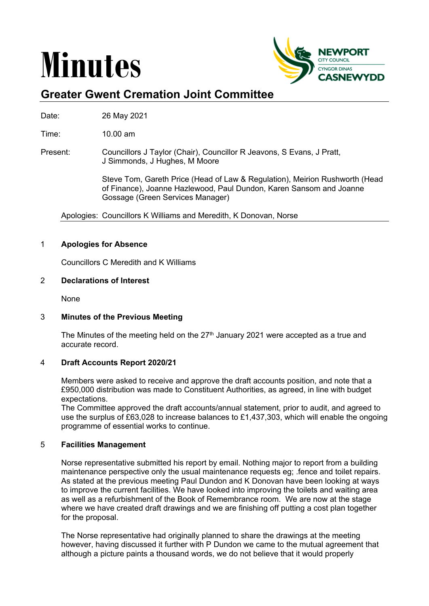# **Minutes**



# **Greater Gwent Cremation Joint Committee**

Date: 26 May 2021

Time: 10.00 am

Present: Councillors J Taylor (Chair), Councillor R Jeavons, S Evans, J Pratt, J Simmonds, J Hughes, M Moore

> Steve Tom, Gareth Price (Head of Law & Regulation), Meirion Rushworth (Head of Finance), Joanne Hazlewood, Paul Dundon, Karen Sansom and Joanne Gossage (Green Services Manager)

Apologies: Councillors K Williams and Meredith, K Donovan, Norse

# 1 **Apologies for Absence**

Councillors C Meredith and K Williams

# 2 **Declarations of Interest**

**None** 

# 3 **Minutes of the Previous Meeting**

The Minutes of the meeting held on the  $27<sup>th</sup>$  January 2021 were accepted as a true and accurate record.

# 4 **Draft Accounts Report 2020/21**

Members were asked to receive and approve the draft accounts position, and note that a £950,000 distribution was made to Constituent Authorities, as agreed, in line with budget expectations.

The Committee approved the draft accounts/annual statement, prior to audit, and agreed to use the surplus of £63,028 to increase balances to £1,437,303, which will enable the ongoing programme of essential works to continue.

# 5 **Facilities Management**

Norse representative submitted his report by email. Nothing major to report from a building maintenance perspective only the usual maintenance requests eg; .fence and toilet repairs. As stated at the previous meeting Paul Dundon and K Donovan have been looking at ways to improve the current facilities. We have looked into improving the toilets and waiting area as well as a refurbishment of the Book of Remembrance room. We are now at the stage where we have created draft drawings and we are finishing off putting a cost plan together for the proposal.

The Norse representative had originally planned to share the drawings at the meeting however, having discussed it further with P Dundon we came to the mutual agreement that although a picture paints a thousand words, we do not believe that it would properly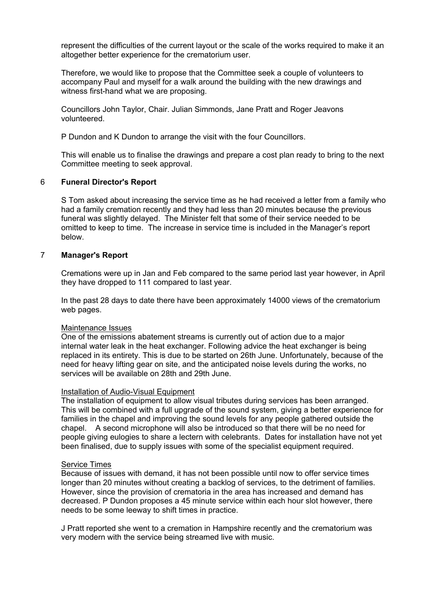represent the difficulties of the current layout or the scale of the works required to make it an altogether better experience for the crematorium user.

Therefore, we would like to propose that the Committee seek a couple of volunteers to accompany Paul and myself for a walk around the building with the new drawings and witness first-hand what we are proposing.

Councillors John Taylor, Chair. Julian Simmonds, Jane Pratt and Roger Jeavons volunteered.

P Dundon and K Dundon to arrange the visit with the four Councillors.

This will enable us to finalise the drawings and prepare a cost plan ready to bring to the next Committee meeting to seek approval.

#### 6 **Funeral Director's Report**

S Tom asked about increasing the service time as he had received a letter from a family who had a family cremation recently and they had less than 20 minutes because the previous funeral was slightly delayed. The Minister felt that some of their service needed to be omitted to keep to time. The increase in service time is included in the Manager's report below.

#### 7 **Manager's Report**

Cremations were up in Jan and Feb compared to the same period last year however, in April they have dropped to 111 compared to last year.

In the past 28 days to date there have been approximately 14000 views of the crematorium web pages.

#### Maintenance Issues

One of the emissions abatement streams is currently out of action due to a major internal water leak in the heat exchanger. Following advice the heat exchanger is being replaced in its entirety. This is due to be started on 26th June. Unfortunately, because of the need for heavy lifting gear on site, and the anticipated noise levels during the works, no services will be available on 28th and 29th June.

#### Installation of Audio-Visual Equipment

The installation of equipment to allow visual tributes during services has been arranged. This will be combined with a full upgrade of the sound system, giving a better experience for families in the chapel and improving the sound levels for any people gathered outside the chapel. A second microphone will also be introduced so that there will be no need for people giving eulogies to share a lectern with celebrants. Dates for installation have not yet been finalised, due to supply issues with some of the specialist equipment required.

#### Service Times

Because of issues with demand, it has not been possible until now to offer service times longer than 20 minutes without creating a backlog of services, to the detriment of families. However, since the provision of crematoria in the area has increased and demand has decreased. P Dundon proposes a 45 minute service within each hour slot however, there needs to be some leeway to shift times in practice.

J Pratt reported she went to a cremation in Hampshire recently and the crematorium was very modern with the service being streamed live with music.